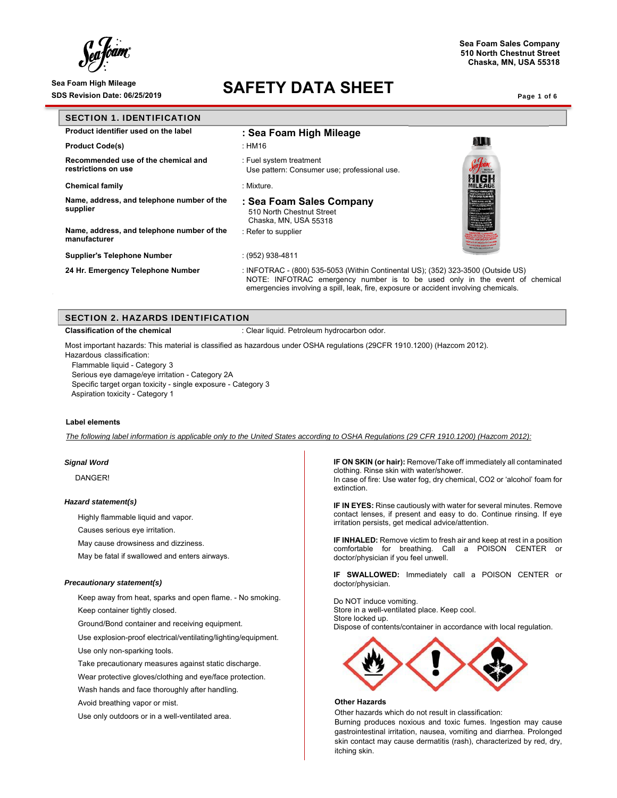### Sea Foam High Mileage **SAFETY DATA SHEET**

**Sea Foam Sales Company 510 North Chestnut Street Chaska, MN, USA 55318**

| <b>SECTION 1. IDENTIFICATION</b>                           |                                                                                                                                                                                                                                                         |                                               |
|------------------------------------------------------------|---------------------------------------------------------------------------------------------------------------------------------------------------------------------------------------------------------------------------------------------------------|-----------------------------------------------|
| Product identifier used on the label                       | : Sea Foam High Mileage                                                                                                                                                                                                                                 |                                               |
| <b>Product Code(s)</b>                                     | : HM16                                                                                                                                                                                                                                                  | n III                                         |
| Recommended use of the chemical and<br>restrictions on use | : Fuel system treatment<br>Use pattern: Consumer use; professional use.                                                                                                                                                                                 | WIGH                                          |
| <b>Chemical family</b>                                     | : Mixture.                                                                                                                                                                                                                                              | <b>MILEAGE</b>                                |
| Name, address, and telephone number of the<br>supplier     | : Sea Foam Sales Company<br>510 North Chestnut Street<br>Chaska, MN, USA 55318                                                                                                                                                                          | OF GASOLINE CARS I<br><b>HERE INTERNATION</b> |
| Name, address, and telephone number of the<br>manufacturer | : Refer to supplier                                                                                                                                                                                                                                     |                                               |
| <b>Supplier's Telephone Number</b>                         | : (952) 938-4811                                                                                                                                                                                                                                        |                                               |
| 24 Hr. Emergency Telephone Number                          | : INFOTRAC - (800) 535-5053 (Within Continental US); (352) 323-3500 (Outside US)<br>NOTE: INFOTRAC emergency number is to be used only in the event of chemical<br>emergencies involving a spill, leak, fire, exposure or accident involving chemicals. |                                               |

|  | SECTION 2. HAZARDS IDENTIFICATION |  |
|--|-----------------------------------|--|
|  |                                   |  |

**Classification of the chemical integral in the chemical classification of the chemical classification** 

Most important hazards: This material is classified as hazardous under OSHA regulations (29CFR 1910.1200) (Hazcom 2012).

Hazardous classification: Flammable liquid - Category 3

Serious eye damage/eye irritation - Category 2A Specific target organ toxicity - single exposure - Category 3 Aspiration toxicity - Category 1

### **Label elements**

*The following label information is applicable only to the United States according to OSHA Regulations (29 CFR 1910.1200) (Hazcom 2012):* 

### *Signal Word*

DANGER!

#### *Hazard statement(s)*

Highly flammable liquid and vapor.

Causes serious eye irritation.

May cause drowsiness and dizziness.

May be fatal if swallowed and enters airways.

### *Precautionary statement(s)*

 Keep away from heat, sparks and open flame. - No smoking. Keep container tightly closed.

Ground/Bond container and receiving equipment.

Use explosion-proof electrical/ventilating/lighting/equipment.

Use only non-sparking tools.

Take precautionary measures against static discharge.

Wear protective gloves/clothing and eye/face protection.

Wash hands and face thoroughly after handling.

Avoid breathing vapor or mist.

Use only outdoors or in a well-ventilated area.

**IF ON SKIN (or hair):** Remove/Take off immediately all contaminated clothing. Rinse skin with water/shower. In case of fire: Use water fog, dry chemical, CO2 or 'alcohol' foam for

**IF IN EYES:** Rinse cautiously with water for several minutes. Remove contact lenses, if present and easy to do. Continue rinsing. If eye irritation persists, get medical advice/attention.

**IF INHALED:** Remove victim to fresh air and keep at rest in a position comfortable for breathing. Call a POISON CENTER or doctor/physician if you feel unwell.

**IF SWALLOWED:** Immediately call a POISON CENTER or doctor/physician.

Do NOT induce vomiting. Store in a well-ventilated place. Keep cool. Store locked up. Dispose of contents/container in accordance with local regulation.



#### **Other Hazards**

extinction.

Other hazards which do not result in classification:

Burning produces noxious and toxic fumes. Ingestion may cause gastrointestinal irritation, nausea, vomiting and diarrhea. Prolonged skin contact may cause dermatitis (rash), characterized by red, dry, itching skin.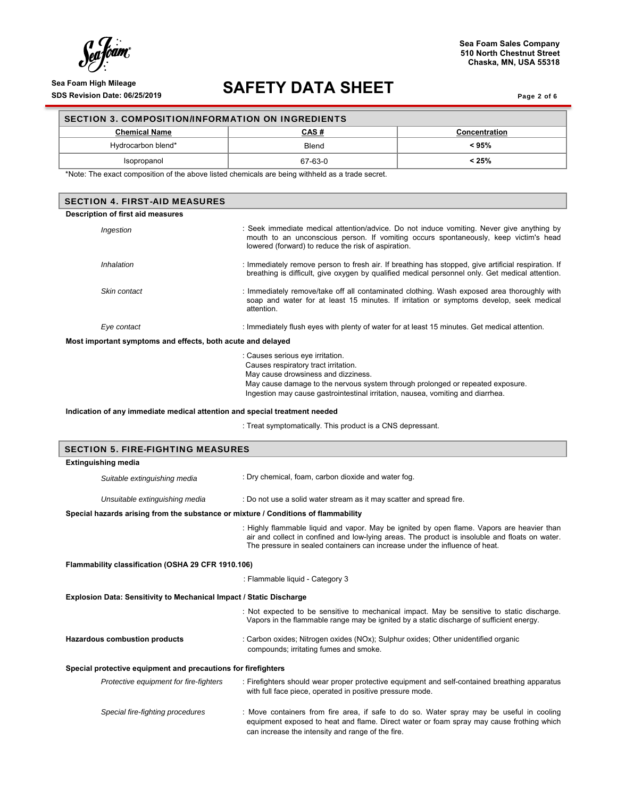$\int_{0}^{1}$ ram (†

# Sea Foam High Mileage **SAFETY DATA SHEET** SDS Revision Date: 06/25/2019

Page 2 of 6

| <b>SECTION 3. COMPOSITION/INFORMATION ON INGREDIENTS</b> |             |                      |  |  |
|----------------------------------------------------------|-------------|----------------------|--|--|
| <b>Chemical Name</b>                                     | <u>CAS#</u> | <b>Concentration</b> |  |  |
| Hydrocarbon blend*                                       | Blend       | < 95%                |  |  |
| Isopropanol                                              | 67-63-0     | $< 25\%$             |  |  |

\*Note: The exact composition of the above listed chemicals are being withheld as a trade secret.

| <b>SECTION 4. FIRST-AID MEASURES</b>                                               |                                                                                                                                                                                                                                                                                      |  |  |  |  |
|------------------------------------------------------------------------------------|--------------------------------------------------------------------------------------------------------------------------------------------------------------------------------------------------------------------------------------------------------------------------------------|--|--|--|--|
| Description of first aid measures                                                  |                                                                                                                                                                                                                                                                                      |  |  |  |  |
| Ingestion                                                                          | : Seek immediate medical attention/advice. Do not induce vomiting. Never give anything by<br>mouth to an unconscious person. If vomiting occurs spontaneously, keep victim's head<br>lowered (forward) to reduce the risk of aspiration.                                             |  |  |  |  |
| Inhalation                                                                         | : Immediately remove person to fresh air. If breathing has stopped, give artificial respiration. If<br>breathing is difficult, give oxygen by qualified medical personnel only. Get medical attention.                                                                               |  |  |  |  |
| Skin contact                                                                       | : Immediately remove/take off all contaminated clothing. Wash exposed area thoroughly with<br>soap and water for at least 15 minutes. If irritation or symptoms develop, seek medical<br>attention.                                                                                  |  |  |  |  |
| Eye contact                                                                        | : Immediately flush eyes with plenty of water for at least 15 minutes. Get medical attention.                                                                                                                                                                                        |  |  |  |  |
| Most important symptoms and effects, both acute and delayed                        |                                                                                                                                                                                                                                                                                      |  |  |  |  |
|                                                                                    | : Causes serious eye irritation.<br>Causes respiratory tract irritation.<br>May cause drowsiness and dizziness.<br>May cause damage to the nervous system through prolonged or repeated exposure.<br>Ingestion may cause gastrointestinal irritation, nausea, vomiting and diarrhea. |  |  |  |  |
| Indication of any immediate medical attention and special treatment needed         |                                                                                                                                                                                                                                                                                      |  |  |  |  |
|                                                                                    | : Treat symptomatically. This product is a CNS depressant.                                                                                                                                                                                                                           |  |  |  |  |
| <b>SECTION 5. FIRE-FIGHTING MEASURES</b>                                           |                                                                                                                                                                                                                                                                                      |  |  |  |  |
| <b>Extinguishing media</b>                                                         |                                                                                                                                                                                                                                                                                      |  |  |  |  |
| Suitable extinguishing media                                                       | : Dry chemical, foam, carbon dioxide and water fog.                                                                                                                                                                                                                                  |  |  |  |  |
| Unsuitable extinguishing media                                                     | : Do not use a solid water stream as it may scatter and spread fire.                                                                                                                                                                                                                 |  |  |  |  |
| Special hazards arising from the substance or mixture / Conditions of flammability |                                                                                                                                                                                                                                                                                      |  |  |  |  |
|                                                                                    | : Highly flammable liquid and vapor. May be ignited by open flame. Vapors are heavier than<br>air and collect in confined and low-lying areas. The product is insoluble and floats on water.<br>The pressure in sealed containers can increase under the influence of heat.          |  |  |  |  |
| Flammability classification (OSHA 29 CFR 1910.106)                                 |                                                                                                                                                                                                                                                                                      |  |  |  |  |
|                                                                                    | : Flammable liquid - Category 3                                                                                                                                                                                                                                                      |  |  |  |  |
| <b>Explosion Data: Sensitivity to Mechanical Impact / Static Discharge</b>         |                                                                                                                                                                                                                                                                                      |  |  |  |  |
|                                                                                    | : Not expected to be sensitive to mechanical impact. May be sensitive to static discharge.<br>Vapors in the flammable range may be ignited by a static discharge of sufficient energy.                                                                                               |  |  |  |  |
| Hazardous combustion products                                                      | : Carbon oxides; Nitrogen oxides (NOx); Sulphur oxides; Other unidentified organic<br>compounds; irritating fumes and smoke.                                                                                                                                                         |  |  |  |  |
| Special protective equipment and precautions for firefighters                      |                                                                                                                                                                                                                                                                                      |  |  |  |  |
| Protective equipment for fire-fighters                                             | : Firefighters should wear proper protective equipment and self-contained breathing apparatus<br>with full face piece, operated in positive pressure mode.                                                                                                                           |  |  |  |  |
| Special fire-fighting procedures                                                   | : Move containers from fire area, if safe to do so. Water spray may be useful in cooling<br>equipment exposed to heat and flame. Direct water or foam spray may cause frothing which<br>can increase the intensity and range of the fire.                                            |  |  |  |  |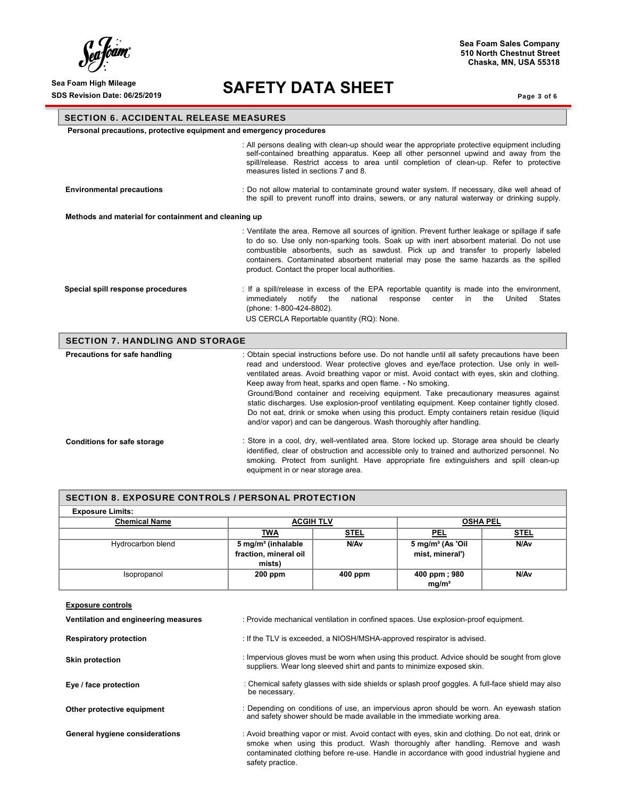$\int_{\ell}$ 'oam

### Sea Foam High Mileage **SAFETY DATA SHEET**

**Sea Foam Sales Company 510 North Chestnut Street Chaska, MN, USA 55318**

Page 3 of 6

### SECTION 6. ACCIDENTAL RELEASE MEASURES

 **Personal precautions, protective equipment and emergency procedures** 

|                                                      | : All persons dealing with clean-up should wear the appropriate protective equipment including<br>self-contained breathing apparatus. Keep all other personnel upwind and away from the<br>spill/release. Restrict access to area until completion of clean-up. Refer to protective<br>measures listed in sections 7 and 8.                                                                                                                                                                                                                                                                                                                                                                                       |  |  |  |
|------------------------------------------------------|-------------------------------------------------------------------------------------------------------------------------------------------------------------------------------------------------------------------------------------------------------------------------------------------------------------------------------------------------------------------------------------------------------------------------------------------------------------------------------------------------------------------------------------------------------------------------------------------------------------------------------------------------------------------------------------------------------------------|--|--|--|
| <b>Environmental precautions</b>                     | : Do not allow material to contaminate ground water system. If necessary, dike well ahead of<br>the spill to prevent runoff into drains, sewers, or any natural waterway or drinking supply.                                                                                                                                                                                                                                                                                                                                                                                                                                                                                                                      |  |  |  |
| Methods and material for containment and cleaning up |                                                                                                                                                                                                                                                                                                                                                                                                                                                                                                                                                                                                                                                                                                                   |  |  |  |
|                                                      | : Ventilate the area. Remove all sources of ignition. Prevent further leakage or spillage if safe<br>to do so. Use only non-sparking tools. Soak up with inert absorbent material. Do not use<br>combustible absorbents, such as sawdust. Pick up and transfer to properly labeled<br>containers. Contaminated absorbent material may pose the same hazards as the spilled<br>product. Contact the proper local authorities.                                                                                                                                                                                                                                                                                      |  |  |  |
| Special spill response procedures                    | : If a spill/release in excess of the EPA reportable quantity is made into the environment,<br>immediately<br>notify<br>the<br>national<br>response<br>center<br>the<br>United<br><b>States</b><br>in<br>(phone: 1-800-424-8802).<br>US CERCLA Reportable quantity (RQ): None.                                                                                                                                                                                                                                                                                                                                                                                                                                    |  |  |  |
| <b>SECTION 7. HANDLING AND STORAGE</b>               |                                                                                                                                                                                                                                                                                                                                                                                                                                                                                                                                                                                                                                                                                                                   |  |  |  |
| Precautions for safe handling                        | : Obtain special instructions before use. Do not handle until all safety precautions have been<br>read and understood. Wear protective gloves and eye/face protection. Use only in well-<br>ventilated areas. Avoid breathing vapor or mist. Avoid contact with eyes, skin and clothing.<br>Keep away from heat, sparks and open flame. - No smoking.<br>Ground/Bond container and receiving equipment. Take precautionary measures against<br>static discharges. Use explosion-proof ventilating equipment. Keep container tightly closed.<br>Do not eat, drink or smoke when using this product. Empty containers retain residue (liquid<br>and/or vapor) and can be dangerous. Wash thoroughly after handling. |  |  |  |
| <b>Conditions for safe storage</b>                   | : Store in a cool, dry, well-ventilated area. Store locked up. Storage area should be clearly<br>identified, clear of obstruction and accessible only to trained and authorized personnel. No<br>smoking. Protect from sunlight. Have appropriate fire extinguishers and spill clean-up<br>equipment in or near storage area.                                                                                                                                                                                                                                                                                                                                                                                     |  |  |  |

| <b>SECTION 8. EXPOSURE CONTROLS / PERSONAL PROTECTION</b> |                                |                  |                              |                  |
|-----------------------------------------------------------|--------------------------------|------------------|------------------------------|------------------|
| <b>Exposure Limits:</b>                                   |                                |                  |                              |                  |
| <b>Chemical Name</b>                                      | <b>ACGIH TLV</b>               |                  | <b>OSHA PEL</b>              |                  |
|                                                           | <b>TWA</b>                     | <u>STEL</u>      | <u>PEL</u>                   | <b>STEL</b>      |
| Hydrocarbon blend                                         | 5 mg/m <sup>3</sup> (inhalable | N/A <sub>v</sub> | 5 mg/m <sup>3</sup> (As 'Oil | N/A <sub>v</sub> |
|                                                           | fraction, mineral oil          |                  | mist, mineral')              |                  |
|                                                           | mists)                         |                  |                              |                  |
| Isopropanol                                               | $200$ ppm                      | $400$ ppm        | 400 ppm; 980                 | N/A <sub>v</sub> |
|                                                           |                                |                  | mg/m <sup>3</sup>            |                  |
|                                                           |                                |                  |                              |                  |
| <b>Exposure controls</b>                                  |                                |                  |                              |                  |

| Ventilation and engineering measures | : Provide mechanical ventilation in confined spaces. Use explosion-proof equipment.                                                                                                                                                                                                                   |
|--------------------------------------|-------------------------------------------------------------------------------------------------------------------------------------------------------------------------------------------------------------------------------------------------------------------------------------------------------|
| <b>Respiratory protection</b>        | : If the TLV is exceeded, a NIOSH/MSHA-approved respirator is advised.                                                                                                                                                                                                                                |
| <b>Skin protection</b>               | : Impervious gloves must be worn when using this product. Advice should be sought from glove<br>suppliers. Wear long sleeved shirt and pants to minimize exposed skin.                                                                                                                                |
| Eye / face protection                | : Chemical safety glasses with side shields or splash proof goggles. A full-face shield may also<br>be necessary.                                                                                                                                                                                     |
| Other protective equipment           | : Depending on conditions of use, an impervious apron should be worn. An eyewash station<br>and safety shower should be made available in the immediate working area.                                                                                                                                 |
| General hygiene considerations       | : Avoid breathing vapor or mist. Avoid contact with eyes, skin and clothing. Do not eat, drink or<br>smoke when using this product. Wash thoroughly after handling. Remove and wash<br>contaminated clothing before re-use. Handle in accordance with good industrial hygiene and<br>safety practice. |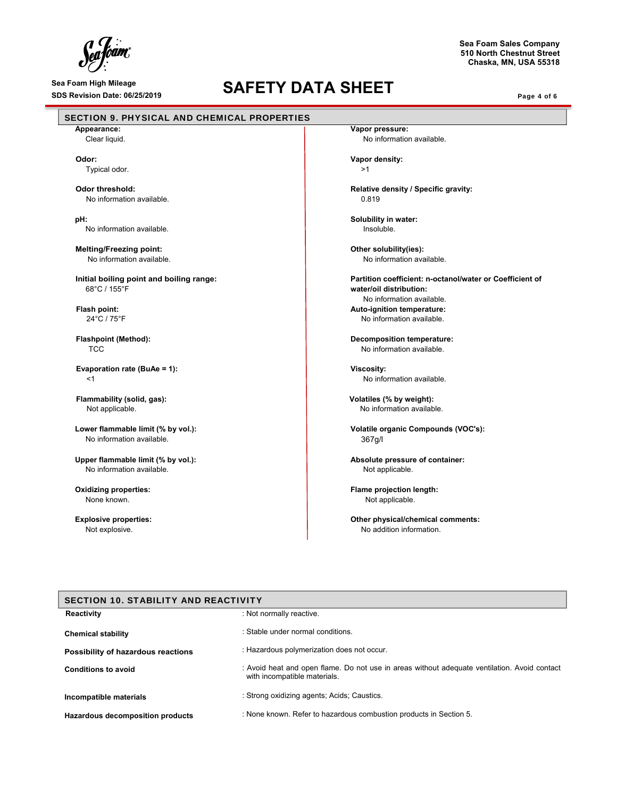$\int_{\mathcal{C}}^{1}$ a fóam

# Sea Foam High Mileage **SAFETY DATA SHEET** SDS Revision Date: 06/25/2019

Page 4 of 6

**Sea Foam Sales Company 510 North Chestnut Street Chaska, MN, USA 55318**

| Appearance:                                                                                                                         | Vapor pressure:                                                                                                              |
|-------------------------------------------------------------------------------------------------------------------------------------|------------------------------------------------------------------------------------------------------------------------------|
| Clear liquid.                                                                                                                       | No information available.                                                                                                    |
| Odor:                                                                                                                               | Vapor density:                                                                                                               |
| Typical odor.                                                                                                                       | >1                                                                                                                           |
|                                                                                                                                     |                                                                                                                              |
| Odor threshold:                                                                                                                     | Relative density / Specific gravity:                                                                                         |
| No information available.                                                                                                           | 0.819                                                                                                                        |
| pH:                                                                                                                                 | Solubility in water:                                                                                                         |
| No information available.                                                                                                           | Insoluble.                                                                                                                   |
| <b>Melting/Freezing point:</b>                                                                                                      | Other solubility(ies):                                                                                                       |
| No information available.                                                                                                           | No information available.                                                                                                    |
| Initial boiling point and boiling range:                                                                                            | Partition coefficient: n-octanol/water or Coefficient of                                                                     |
| 68°C / 155°F                                                                                                                        | water/oil distribution:                                                                                                      |
|                                                                                                                                     | No information available.                                                                                                    |
| Flash point:                                                                                                                        | Auto-ignition temperature:                                                                                                   |
| 24°C / 75°F                                                                                                                         | No information available.                                                                                                    |
| <b>Flashpoint (Method):</b>                                                                                                         | Decomposition temperature:                                                                                                   |
| <b>TCC</b>                                                                                                                          | No information available.                                                                                                    |
| Evaporation rate (BuAe = 1):                                                                                                        | Viscosity:                                                                                                                   |
| $<$ 1                                                                                                                               | No information available.                                                                                                    |
|                                                                                                                                     |                                                                                                                              |
| Flammability (solid, gas):                                                                                                          | Volatiles (% by weight):                                                                                                     |
| Not applicable.                                                                                                                     | No information available.                                                                                                    |
| Lower flammable limit (% by vol.):                                                                                                  | Volatile organic Compounds (VOC's):                                                                                          |
| No information available.                                                                                                           | 367g/l                                                                                                                       |
| Upper flammable limit (% by vol.):                                                                                                  | Absolute pressure of container:                                                                                              |
| No information available.                                                                                                           | Not applicable.                                                                                                              |
|                                                                                                                                     |                                                                                                                              |
|                                                                                                                                     |                                                                                                                              |
| <b>Oxidizing properties:</b><br>None known.                                                                                         | Flame projection length:                                                                                                     |
|                                                                                                                                     | Not applicable.                                                                                                              |
| <b>Explosive properties:</b>                                                                                                        | Other physical/chemical comments:                                                                                            |
| Not explosive.                                                                                                                      | No addition information.                                                                                                     |
|                                                                                                                                     |                                                                                                                              |
|                                                                                                                                     |                                                                                                                              |
|                                                                                                                                     | : Not normally reactive.                                                                                                     |
|                                                                                                                                     | : Stable under normal conditions.                                                                                            |
| <b>SECTION 10. STABILITY AND REACTIVITY</b><br><b>Reactivity</b><br><b>Chemical stability</b><br>Possibility of hazardous reactions | : Hazardous polymerization does not occur.                                                                                   |
| <b>Conditions to avoid</b>                                                                                                          | : Avoid heat and open flame. Do not use in areas without adequate ventilation. Avoid contact<br>with incompatible materials. |
| Incompatible materials                                                                                                              | : Strong oxidizing agents; Acids; Caustics.                                                                                  |

**Hazardous decomposition products** : None known. Refer to hazardous combustion products in Section 5.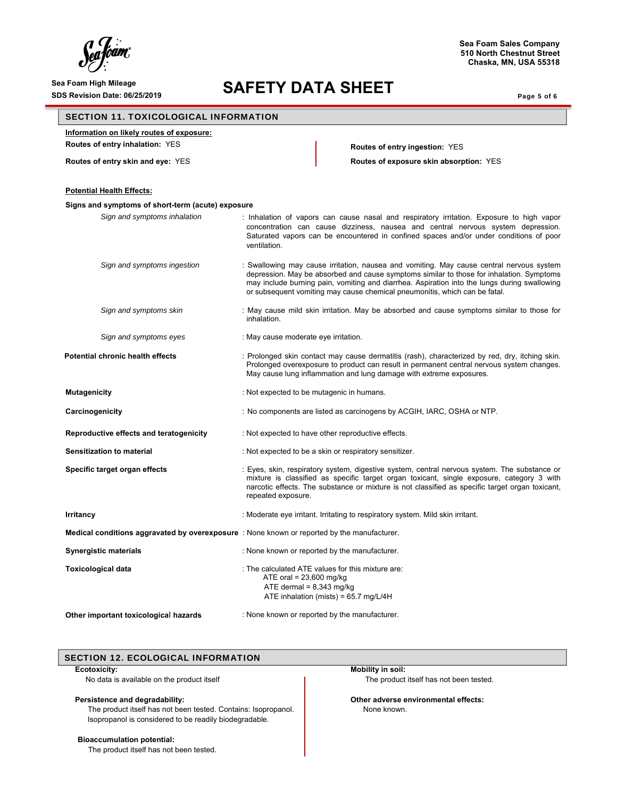### Sea Foam High Mileage **SAFETY DATA SHEET**

**Sea Foam Sales Company 510 North Chestnut Street Chaska, MN, USA 55318**

Page 5 of 6

### SECTION 11. TOXICOLOGICAL INFORMATION

**Information on likely routes of exposure:** 

**Routes of entry inhalation:** YES **Routes of entry ingestion:** YES

**Routes of entry skin and eye:** YES **Routes of exposure skin absorption:** YES

| <b>Potential Health Effects:</b>                  |                                                                                                                                                                                                                                                                                                                                                                    |
|---------------------------------------------------|--------------------------------------------------------------------------------------------------------------------------------------------------------------------------------------------------------------------------------------------------------------------------------------------------------------------------------------------------------------------|
| Signs and symptoms of short-term (acute) exposure |                                                                                                                                                                                                                                                                                                                                                                    |
| Sign and symptoms inhalation                      | : Inhalation of vapors can cause nasal and respiratory irritation. Exposure to high vapor<br>concentration can cause dizziness, nausea and central nervous system depression.<br>Saturated vapors can be encountered in confined spaces and/or under conditions of poor<br>ventilation.                                                                            |
| Sign and symptoms ingestion                       | : Swallowing may cause irritation, nausea and vomiting. May cause central nervous system<br>depression. May be absorbed and cause symptoms similar to those for inhalation. Symptoms<br>may include burning pain, vomiting and diarrhea. Aspiration into the lungs during swallowing<br>or subsequent vomiting may cause chemical pneumonitis, which can be fatal. |
| Sign and symptoms skin                            | : May cause mild skin irritation. May be absorbed and cause symptoms similar to those for<br>inhalation.                                                                                                                                                                                                                                                           |
| Sign and symptoms eyes                            | : May cause moderate eye irritation.                                                                                                                                                                                                                                                                                                                               |
| <b>Potential chronic health effects</b>           | : Prolonged skin contact may cause dermatitis (rash), characterized by red, dry, itching skin.<br>Prolonged overexposure to product can result in permanent central nervous system changes.<br>May cause lung inflammation and lung damage with extreme exposures.                                                                                                 |
| <b>Mutagenicity</b>                               | : Not expected to be mutagenic in humans.                                                                                                                                                                                                                                                                                                                          |
| Carcinogenicity                                   | : No components are listed as carcinogens by ACGIH, IARC, OSHA or NTP.                                                                                                                                                                                                                                                                                             |
| Reproductive effects and teratogenicity           | : Not expected to have other reproductive effects.                                                                                                                                                                                                                                                                                                                 |
| Sensitization to material                         | : Not expected to be a skin or respiratory sensitizer.                                                                                                                                                                                                                                                                                                             |
| Specific target organ effects                     | : Eyes, skin, respiratory system, digestive system, central nervous system. The substance or<br>mixture is classified as specific target organ toxicant, single exposure, category 3 with<br>narcotic effects. The substance or mixture is not classified as specific target organ toxicant,<br>repeated exposure.                                                 |
| Irritancy                                         | : Moderate eye irritant. Irritating to respiratory system. Mild skin irritant.                                                                                                                                                                                                                                                                                     |
|                                                   | Medical conditions aggravated by overexposure : None known or reported by the manufacturer.                                                                                                                                                                                                                                                                        |
| <b>Synergistic materials</b>                      | : None known or reported by the manufacturer.                                                                                                                                                                                                                                                                                                                      |
| <b>Toxicological data</b>                         | : The calculated ATE values for this mixture are:<br>ATE oral = $23,600$ mg/kg<br>ATE dermal = $8,343$ mg/kg<br>ATE inhalation (mists) = $65.7$ mg/L/4H                                                                                                                                                                                                            |
| Other important toxicological hazards             | : None known or reported by the manufacturer.                                                                                                                                                                                                                                                                                                                      |

### SECTION 12. ECOLOGICAL INFORMATION

### **Ecotoxicity:**

No data is available on the product itself

### **Persistence and degradability:**

The product itself has not been tested. Contains: Isopropanol. Isopropanol is considered to be readily biodegradable.

### **Bioaccumulation potential:**

The product itself has not been tested.

**Mobility in soil:** The product itself has not been tested.

**Other adverse environmental effects:** None known.